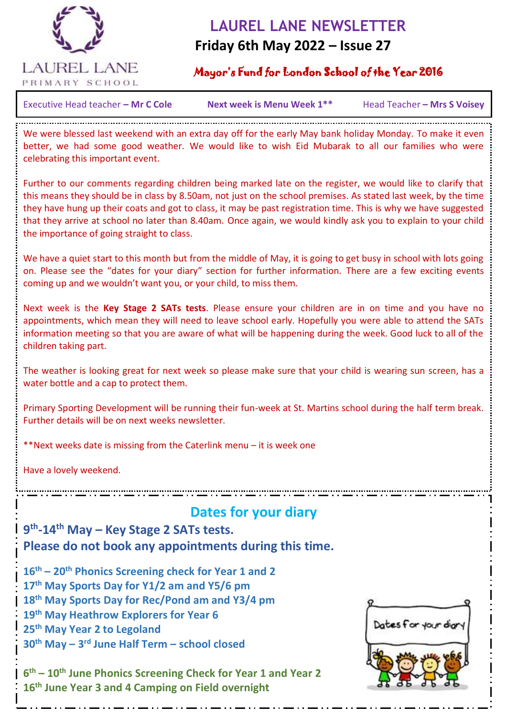

# **LAUREL LANE NEWSLETTER**

### **Friday 6th May 2022 – Issue 27**

#### Mayor's Fund for London School of the Year 2016

Executive Head teacher – **Mr C Cole Mext week is Menu Week 1\*\*** Head Teacher – Mrs S Voisey

 $\overline{a}$ 

We were blessed last weekend with an extra day off for the early May bank holiday Monday. To make it even better, we had some good weather. We would like to wish Eid Mubarak to all our families who were celebrating this important event.

Further to our comments regarding children being marked late on the register, we would like to clarify that this means they should be in class by 8.50am, not just on the school premises. As stated last week, by the time they have hung up their coats and got to class, it may be past registration time. This is why we have suggested that they arrive at school no later than 8.40am. Once again, we would kindly ask you to explain to your child the importance of going straight to class.

We have a quiet start to this month but from the middle of May, it is going to get busy in school with lots going on. Please see the "dates for your diary" section for further information. There are a few exciting events coming up and we wouldn't want you, or your child, to miss them.

Next week is the **Key Stage 2 SATs tests**. Please ensure your children are in on time and you have no appointments, which mean they will need to leave school early. Hopefully you were able to attend the SATs information meeting so that you are aware of what will be happening during the week. Good luck to all of the children taking part.

The weather is looking great for next week so please make sure that your child is wearing sun screen, has a water bottle and a cap to protect them.

Primary Sporting Development will be running their fun-week at St. Martins school during the half term break. Further details will be on next weeks newsletter.

\*\*Next weeks date is missing from the Caterlink menu – it is week one

Have a lovely weekend.

# **Dates for your diary**

**9 th -14th May – Key Stage 2 SATs tests. Please do not book any appointments during this time.**

**th – 20th Phonics Screening check for Year 1 and 2 th May Sports Day for Y1/2 am and Y5/6 pm th May Sports Day for Rec/Pond am and Y3/4 pm th May Heathrow Explorers for Year 6 th May Year 2 to Legoland th May – 3 rd June Half Term – school closed**

**6 th – 10th June Phonics Screening Check for Year 1 and Year 2 16th June Year 3 and 4 Camping on Field overnight**

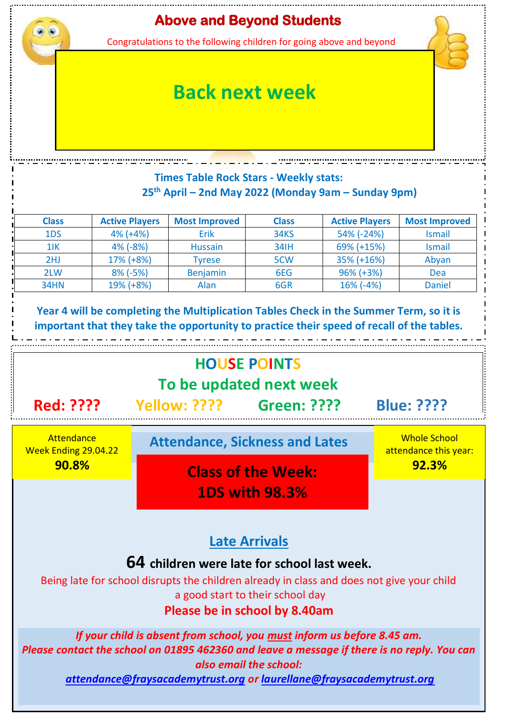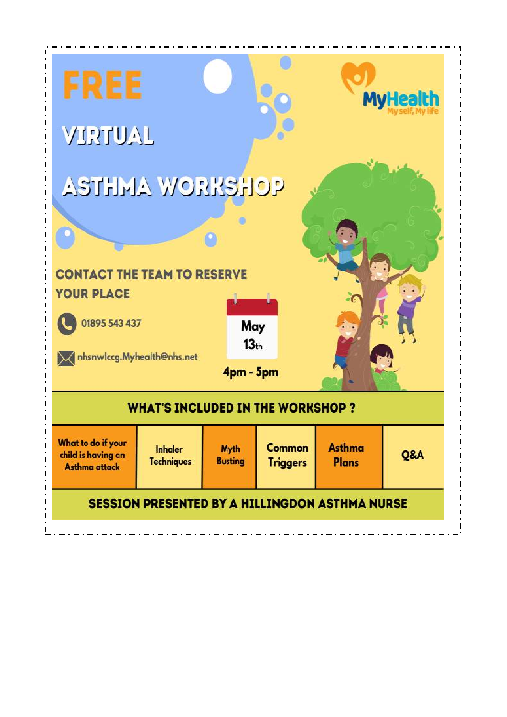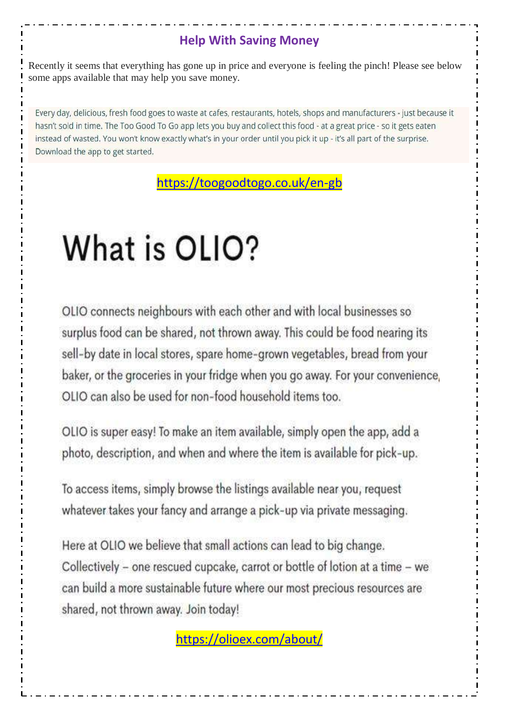## **Help With Saving Money**

Recently it seems that everything has gone up in price and everyone is feeling the pinch! Please see below some apps available that may help you save money.

Every day, delicious, fresh food goes to waste at cafes, restaurants, hotels, shops and manufacturers - just because it hasn't sold in time. The Too Good To Go app lets you buy and collect this food - at a great price - so it gets eaten instead of wasted. You won't know exactly what's in your order until you pick it up - it's all part of the surprise. Download the app to get started.

<https://toogoodtogo.co.uk/en-gb>

# What is OLIO?

OLIO connects neighbours with each other and with local businesses so surplus food can be shared, not thrown away. This could be food nearing its sell-by date in local stores, spare home-grown vegetables, bread from your baker, or the groceries in your fridge when you go away. For your convenience, OLIO can also be used for non-food household items too.

OLIO is super easy! To make an item available, simply open the app, add a photo, description, and when and where the item is available for pick-up.

To access items, simply browse the listings available near you, request whatever takes your fancy and arrange a pick-up via private messaging.

Here at OLIO we believe that small actions can lead to big change. Collectively - one rescued cupcake, carrot or bottle of lotion at a time - we can build a more sustainable future where our most precious resources are shared, not thrown away. Join today!

<https://olioex.com/about/>